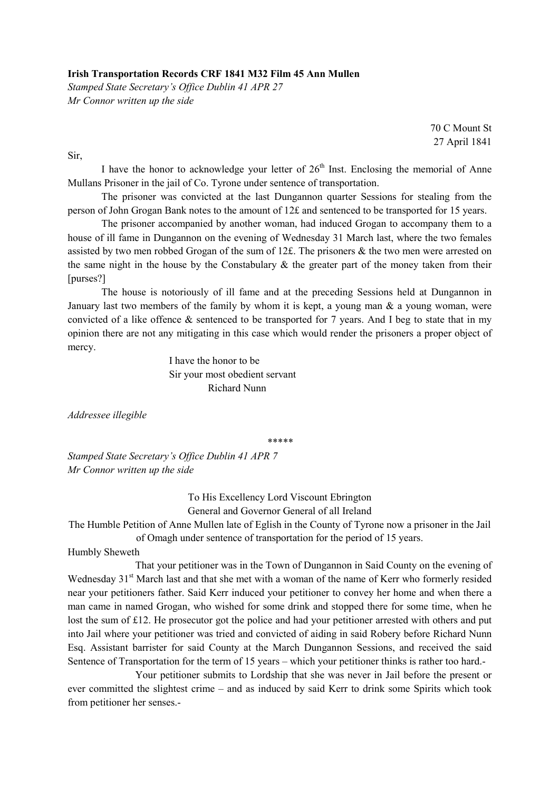## Irish Transportation Records CRF 1841 M32 Film 45 Ann Mullen

Stamped State Secretary's Office Dublin 41 APR 27 Mr Connor written up the side

> 70 C Mount St 27 April 1841

Sir,

I have the honor to acknowledge your letter of  $26<sup>th</sup>$  Inst. Enclosing the memorial of Anne Mullans Prisoner in the jail of Co. Tyrone under sentence of transportation.

 The prisoner was convicted at the last Dungannon quarter Sessions for stealing from the person of John Grogan Bank notes to the amount of 12£ and sentenced to be transported for 15 years.

 The prisoner accompanied by another woman, had induced Grogan to accompany them to a house of ill fame in Dungannon on the evening of Wednesday 31 March last, where the two females assisted by two men robbed Grogan of the sum of 12£. The prisoners & the two men were arrested on the same night in the house by the Constabulary  $\&$  the greater part of the money taken from their [purses?]

 The house is notoriously of ill fame and at the preceding Sessions held at Dungannon in January last two members of the family by whom it is kept, a young man  $\&$  a young woman, were convicted of a like offence & sentenced to be transported for 7 years. And I beg to state that in my opinion there are not any mitigating in this case which would render the prisoners a proper object of mercy.

> I have the honor to be Sir your most obedient servant Richard Nunn

Addressee illegible

\*\*\*\*\*

Stamped State Secretary's Office Dublin 41 APR 7 Mr Connor written up the side

> To His Excellency Lord Viscount Ebrington General and Governor General of all Ireland

The Humble Petition of Anne Mullen late of Eglish in the County of Tyrone now a prisoner in the Jail of Omagh under sentence of transportation for the period of 15 years.

Humbly Sheweth

 That your petitioner was in the Town of Dungannon in Said County on the evening of Wednesday 31<sup>st</sup> March last and that she met with a woman of the name of Kerr who formerly resided near your petitioners father. Said Kerr induced your petitioner to convey her home and when there a man came in named Grogan, who wished for some drink and stopped there for some time, when he lost the sum of £12. He prosecutor got the police and had your petitioner arrested with others and put into Jail where your petitioner was tried and convicted of aiding in said Robery before Richard Nunn Esq. Assistant barrister for said County at the March Dungannon Sessions, and received the said Sentence of Transportation for the term of 15 years – which your petitioner thinks is rather too hard.-

 Your petitioner submits to Lordship that she was never in Jail before the present or ever committed the slightest crime – and as induced by said Kerr to drink some Spirits which took from petitioner her senses.-